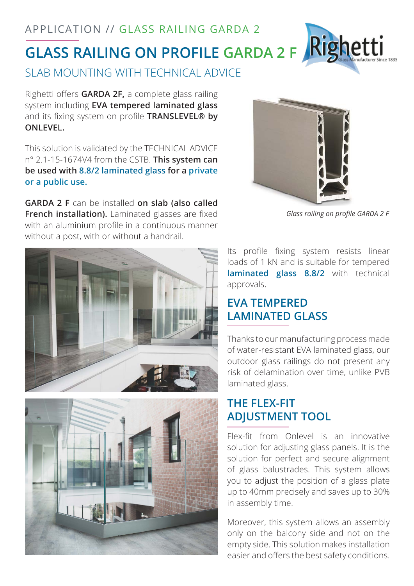APPLICATION // GLASS RAILING GARDA 2



SLAB MOUNTING WITH TECHNICAL ADVICE

Righetti offers **GARDA 2F,** a complete glass railing system including **EVA tempered laminated glass**  and its fixing system on profile **TRANSLEVEL® by ONLEVEL.**

This solution is validated by the TECHNICAL ADVICE n° 2.1-15-1674V4 from the CSTB. **This system can be used with 8.8/2 laminated glass for a private or a public use.** 

**GARDA 2 F** can be installed **on slab (also called French installation).** Laminated glasses are fixed with an aluminium profile in a continuous manner without a post, with or without a handrail.







*Glass railing on profile GARDA 2 F*

Its profile fixing system resists linear loads of 1 kN and is suitable for tempered **laminated glass 8.8/2** with technical approvals.

# **EVA TEMPERED LAMINATED GLASS**

Thanks to our manufacturing process made of water-resistant EVA laminated glass, our outdoor glass railings do not present any risk of delamination over time, unlike PVB laminated glass.

## **THE FLEX-FIT ADJUSTMENT TOOL**

Flex-fit from Onlevel is an innovative solution for adjusting glass panels. It is the solution for perfect and secure alignment of glass balustrades. This system allows you to adjust the position of a glass plate up to 40mm precisely and saves up to 30% in assembly time.

Moreover, this system allows an assembly only on the balcony side and not on the empty side. This solution makes installation easier and offers the best safety conditions.